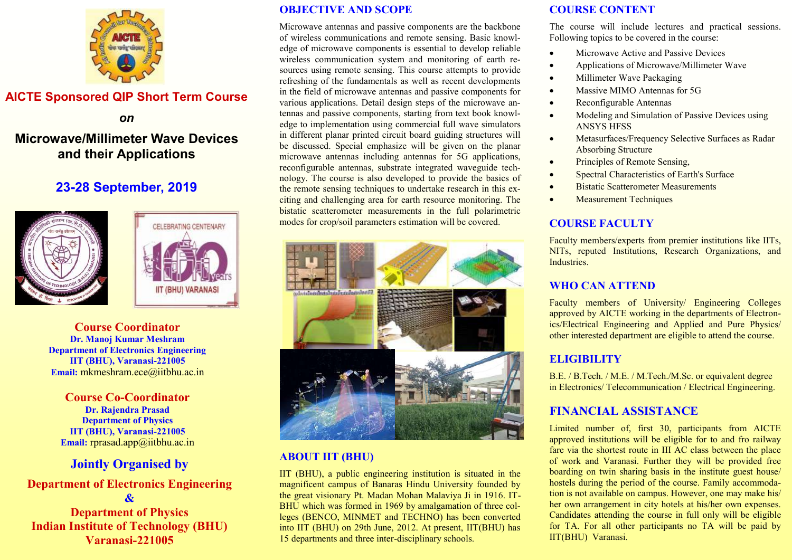

## **AICTE Sponsored QIP Short Term Course**

*on* 

# **Microwave/Millimeter Wave Devices and their Applications**

# **23-28 September, 2019**





**Course Coordinator Dr. Manoj Kumar Meshram Department of Electronics Engineering IIT (BHU), Varanasi-221005 Email:** mkmeshram.ece@iitbhu.ac.in

**Course Co-Coordinator Dr. Rajendra Prasad Department of Physics IIT (BHU), Varanasi-221005 Email:** rprasad.app@iitbhu.ac.in

## **Jointly Organised by**

#### **Department of Electronics Engineering &**

**Department of Physics Indian Institute of Technology (BHU) Varanasi-221005**

#### **OBJECTIVE AND SCOPE**

Microwave antennas and passive components are the backbone of wireless communications and remote sensing. Basic knowledge of microwave components is essential to develop reliable wireless communication system and monitoring of earth resources using remote sensing. This course attempts to provide refreshing of the fundamentals as well as recent developments in the field of microwave antennas and passive components for various applications. Detail design steps of the microwave antennas and passive components, starting from text book knowledge to implementation using commercial full wave simulators in different planar printed circuit board guiding structures will be discussed. Special emphasize will be given on the planar microwave antennas including antennas for 5G applications, reconfigurable antennas, substrate integrated waveguide technology. The course is also developed to provide the basics of the remote sensing techniques to undertake research in this exciting and challenging area for earth resource monitoring. The bistatic scatterometer measurements in the full polarimetric modes for crop/soil parameters estimation will be covered.



## **ABOUT IIT (BHU)**

IIT (BHU), a public engineering institution is situated in the magnificent campus of Banaras Hindu University founded by the great visionary Pt. Madan Mohan Malaviya Ji in 1916. IT-BHU which was formed in 1969 by amalgamation of three colleges (BENCO, MINMET and TECHNO) has been converted into IIT (BHU) on 29th June, 2012. At present, IIT(BHU) has 15 departments and three inter-disciplinary schools.

#### **COURSE CONTENT**

The course will include lectures and practical sessions. Following topics to be covered in the course:

- Microwave Active and Passive Devices
- Applications of Microwave/Millimeter Wave
- Millimeter Wave Packaging
- Massive MIMO Antennas for 5G
- Reconfigurable Antennas
- Modeling and Simulation of Passive Devices using ANSYS HFSS
- Metasurfaces/Frequency Selective Surfaces as Radar Absorbing Structure
- Principles of Remote Sensing,
- Spectral Characteristics of Earth's Surface
- Bistatic Scatterometer Measurements
- Measurement Techniques

## **COURSE FACULTY**

Faculty members/experts from premier institutions like IITs, NITs, reputed Institutions, Research Organizations, and **Industries** 

## **WHO CAN ATTEND**

Faculty members of University/ Engineering Colleges approved by AICTE working in the departments of Electronics/Electrical Engineering and Applied and Pure Physics/ other interested department are eligible to attend the course.

## **ELIGIBILITY**

B.E. / B.Tech. / M.E. / M.Tech./M.Sc. or equivalent degree in Electronics/ Telecommunication / Electrical Engineering.

## **FINANCIAL ASSISTANCE**

Limited number of, first 30, participants from AICTE approved institutions will be eligible for to and fro railway fare via the shortest route in III AC class between the place of work and Varanasi. Further they will be provided free boarding on twin sharing basis in the institute guest house/ hostels during the period of the course. Family accommodation is not available on campus. However, one may make his/ her own arrangement in city hotels at his/her own expenses. Candidates attending the course in full only will be eligible for TA. For all other participants no TA will be paid by IIT(BHU) Varanasi.